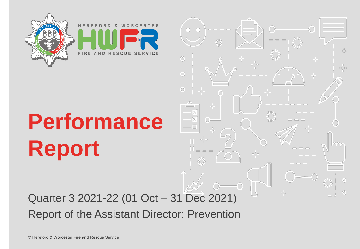



Sus

 $\odot$ 

 $\circ$ 

 $\odot$ 

 $\mathbin{{\circ}}_0^0\mathbin{{\circ}}$ 

 $\circ_{0}^{0}$ 

-<sup>0</sup>

 $\circledcirc$ 

 $\frac{1}{2}$ 

 $\circ_{\cap}^0$ 

# **Performance Report**

### Quarter 3 2021-22 (01 Oct – 31 Dec 2021) Report of the Assistant Director: Prevention

© Hereford & Worcester Fire and Rescue Service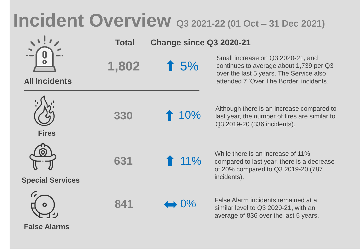### **Incident Overview Q3 2021-22 (01 Oct – 31 Dec 2021)**

|                         | <b>Total</b> | Change since Q3 2020-21 |                                                                                                                                                                    |  |
|-------------------------|--------------|-------------------------|--------------------------------------------------------------------------------------------------------------------------------------------------------------------|--|
| <b>All Incidents</b>    | 1,802        | 15%                     | Small increase on Q3 2020-21, and<br>continues to average about 1,739 per Q3<br>over the last 5 years. The Service also<br>attended 7 'Over The Border' incidents. |  |
| <b>Fires</b>            | 330          | 10%                     | Although there is an increase compared to<br>last year, the number of fires are similar to<br>Q3 2019-20 (336 incidents).                                          |  |
| <b>Special Services</b> | 631          | $11\%$                  | While there is an increase of 11%<br>compared to last year, there is a decrease<br>of 20% compared to Q3 2019-20 (787<br>incidents).                               |  |
|                         | 841          | $\rightarrow 0\%$       | False Alarm incidents remained at a<br>similar level to Q3 2020-21, with an<br>average of 836 over the last 5 years.                                               |  |

**False Alarms**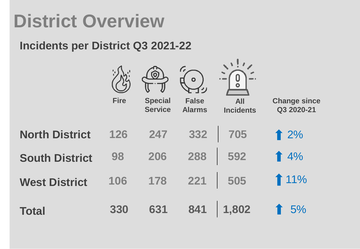### **District Overview**

### **Incidents per District Q3 2021-22**

|                       | <b>Fire</b> | $\bm{\copyright}$<br><b>Special</b><br><b>Service</b> | $\bullet$<br><b>False</b><br><b>Alarms</b> | $\overline{\phantom{a}}$<br>$\blacksquare$<br><b>All</b><br><b>Incidents</b> | <b>Change since</b><br>Q3 2020-21 |
|-----------------------|-------------|-------------------------------------------------------|--------------------------------------------|------------------------------------------------------------------------------|-----------------------------------|
| <b>North District</b> | 126         | 247                                                   | 332                                        | 705                                                                          | 12%                               |
| <b>South District</b> | 98          | 206                                                   | 288                                        | 592                                                                          | 14%                               |
| <b>West District</b>  | 106         | 178                                                   | 221                                        | 505                                                                          | 11%                               |
| <b>Total</b>          | 330         | 631                                                   | 841                                        | 1,802                                                                        | 5%                                |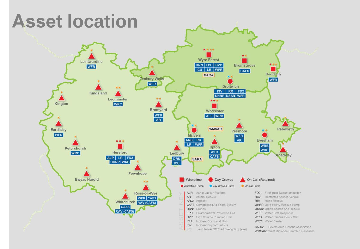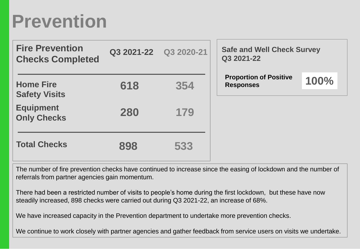### **Prevention**

| <b>Fire Prevention</b><br><b>Checks Completed</b> |     | Q3 2021-22 Q3 2020-21 | <b>Safe and Well Check Survey</b><br>Q3 2021-22   |      |
|---------------------------------------------------|-----|-----------------------|---------------------------------------------------|------|
| <b>Home Fire</b><br><b>Safety Visits</b>          | 618 | 354                   | <b>Proportion of Positive</b><br><b>Responses</b> | 100% |
| <b>Equipment</b><br><b>Only Checks</b>            | 280 | 179                   |                                                   |      |
| <b>Total Checks</b>                               | 898 | 533                   |                                                   |      |

The number of fire prevention checks have continued to increase since the easing of lockdown and the number of referrals from partner agencies gain momentum.

There had been a restricted number of visits to people's home during the first lockdown, but these have now steadily increased, 898 checks were carried out during Q3 2021-22, an increase of 68%.

We have increased capacity in the Prevention department to undertake more prevention checks.

We continue to work closely with partner agencies and gather feedback from service users on visits we undertake.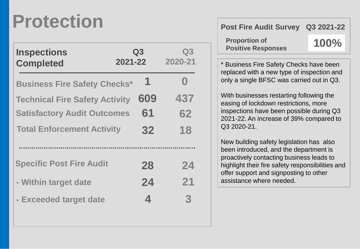## **Protection**

| <b>Inspections</b><br><b>Completed</b> | $\bf Q3$<br>2021-22 | Q3<br>2020-21 |
|----------------------------------------|---------------------|---------------|
| <b>Business Fire Safety Checks*</b>    | 1                   |               |
| <b>Technical Fire Safety Activity</b>  | 609                 | 437           |
| <b>Satisfactory Audit Outcomes</b>     | 61                  | 62            |
| <b>Total Enforcement Activity</b>      | 32                  | 18            |
|                                        |                     |               |
| <b>Specific Post Fire Audit</b>        | 28                  | 24            |
| - Within target date                   | 24                  | 21            |
| - Exceeded target date                 | 4                   | 3             |

| <b>Post Fire Audit Survey</b>                                                                                                                                                           | Q3 2021-22 |
|-----------------------------------------------------------------------------------------------------------------------------------------------------------------------------------------|------------|
| <b>Proportion of</b><br><b>Positive Responses</b>                                                                                                                                       | 100%       |
| * Business Fire Safety Checks have been<br>replaced with a new type of inspection and<br>only a single BFSC was carried out in Q3.                                                      |            |
| With businesses restarting following the<br>easing of lockdown restrictions, more<br>inspections have been possible during Q3<br>2021-22. An increase of 39% compared to<br>Q3 2020-21. |            |

New building safety legislation has also been introduced, and the department is proactively contacting business leads to highlight their fire safety responsibilities and offer support and signposting to other assistance where needed.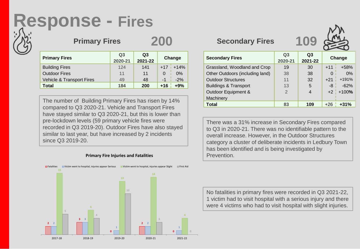### **Response - Fires**



**Primary Fires 200**

| <b>Primary Fires</b>                 | Q <sub>3</sub><br>2020-21 | Q <sub>3</sub><br>2021-22 |       | Change     |
|--------------------------------------|---------------------------|---------------------------|-------|------------|
| <b>Building Fires</b>                | 124                       | 141                       |       | $+17$ +14% |
| <b>Outdoor Fires</b>                 | 11                        | 11                        |       | 0%         |
| <b>Vehicle &amp; Transport Fires</b> | 49                        | 48                        | $-1$  | $-2%$      |
| <b>Total</b>                         | 184                       | 200                       | $+16$ | +9%        |

The number of Building Primary Fires has risen by 14% compared to Q3 2020-21. Vehicle and Transport Fires have stayed similar to Q3 2020-21, but this is lower than pre-lockdown levels (59 primary vehicle fires were recorded in Q3 2019-20). Outdoor Fires have also stayed similar to last year, but have increased by 2 incidents since Q3 2019-20.

#### **Primary Fire Injuries and Fatalities**



#### **Secondary Fires**



| <b>Secondary Fires</b>           | Q <sub>3</sub><br>2020-21 | Q <sub>3</sub><br>2021-22 |          | Change     |
|----------------------------------|---------------------------|---------------------------|----------|------------|
| Grassland, Woodland and Crop     | 19                        | 30                        | $+11$    | $+58%$     |
| Other Outdoors (including land)  | 38                        | 38                        | $\Omega$ | 0%         |
| <b>Outdoor Structures</b>        | 11                        | 32                        | $+21$    | $+191%$    |
| <b>Buildings &amp; Transport</b> | 13                        | 5                         | -8       | $-62%$     |
| Outdoor Equipment &              | $\mathcal{P}$             | 4                         |          | $+2$ +100% |
| Machinery                        |                           |                           |          |            |
| Total                            | 83                        | 109                       | $+26$    | $+31%$     |

There was a 31% increase in Secondary Fires compared to Q3 in 2020-21. There was no identifiable pattern to the overall increase. However, in the Outdoor Structures category a cluster of deliberate incidents in Ledbury Town has been identified and is being investigated by Prevention.

No fatalities in primary fires were recorded in Q3 2021-22, 1 victim had to visit hospital with a serious injury and there were 4 victims who had to visit hospital with slight injuries.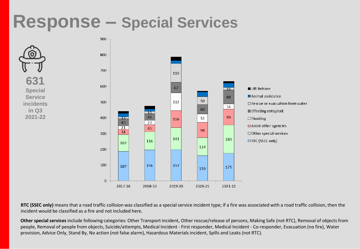### **Response – Special Services**



RTC (SSEC only) means that a road traffic collision was classified as a special service incident type; if a fire was associated with a road traffic collision, then the incident would be classified as a fire and not included here.

**Other special services** include following categories: Other Transport incident, Other rescue/release of persons, Making Safe (not RTC), Removal of objects from people, Removal of people from objects, Suicide/attempts, Medical Incident - First responder, Medical Incident - Co-responder, Evacuation (no fire), Water provision, Advice Only, Stand By, No action (not false alarm), Hazardous Materials incident, Spills and Leaks (not RTC).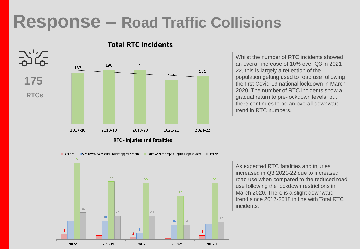### **Response – Road Traffic Collisions**



Whilst the number of RTC incidents showed an overall increase of 10% over Q3 in 2021- 22, this is largely a reflection of the population getting used to road use following the first Covid-19 national lockdown in March 2020. The number of RTC incidents show a gradual return to pre-lockdown levels, but there continues to be an overall downward trend in RTC numbers.

 $\blacksquare$  Victim went to hospital, injuries appear Serious  $\blacksquare$  Victim went to hospital, injuries appear Slight  $\blacksquare$  Fatalities  $\blacksquare$  First Aid



As expected RTC fatalities and injuries increased in Q3 2021-22 due to increased road use when compared to the reduced road use following the lockdown restrictions in March 2020. There is a slight downward trend since 2017-2018 in line with Total RTC incidents.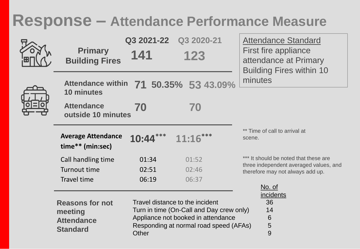### **Response – Attendance Performance Measure**

| <b>Primary</b><br><b>Building Fires</b>                                                  | Q3 2021-22<br>141       | Q3 2020-21<br>123                                                                                                                                           | <b>Attendance Standard</b><br>First fire appliance<br>attendance at Primary<br><b>Building Fires within 10</b>                       |
|------------------------------------------------------------------------------------------|-------------------------|-------------------------------------------------------------------------------------------------------------------------------------------------------------|--------------------------------------------------------------------------------------------------------------------------------------|
| <b>Attendance within</b><br><b>10 minutes</b><br><b>Attendance</b><br>outside 10 minutes | 70                      | 71 50.35% 53 43.09%<br>70                                                                                                                                   | minutes                                                                                                                              |
| <b>Average Attendance</b><br>time** (min:sec)                                            | 10:44                   |                                                                                                                                                             | ** Time of call to arrival at<br>scene.                                                                                              |
| Call handling time<br>Turnout time<br><b>Travel time</b>                                 | 01:34<br>02:51<br>06:19 | 01:52<br>02:46<br>06:37                                                                                                                                     | *** It should be noted that these are<br>three independent averaged values, and<br>therefore may not always add up.<br><u>No. of</u> |
| <b>Reasons for not</b><br>meeting<br><b>Attendance</b><br><b>Standard</b>                | Other                   | Travel distance to the incident<br>Turn in time (On-Call and Day crew only)<br>Appliance not booked in attendance<br>Responding at normal road speed (AFAs) | <i>incidents</i><br>36<br>14<br>$6\phantom{1}6$<br>$\sqrt{5}$<br>9                                                                   |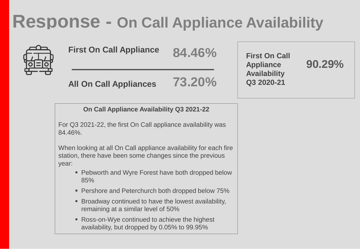### **Response - On Call Appliance Availability**

| <b>First On Call Appliance</b><br>84.46%                                                                                              | <b>First On Call</b><br><b>Appliance</b> | 90.29% |  |
|---------------------------------------------------------------------------------------------------------------------------------------|------------------------------------------|--------|--|
| 73.20%<br><b>All On Call Appliances</b>                                                                                               | <b>Availability</b><br>Q3 2020-21        |        |  |
| On Call Appliance Availability Q3 2021-22                                                                                             |                                          |        |  |
| For Q3 2021-22, the first On Call appliance availability was<br>84.46%.                                                               |                                          |        |  |
| When looking at all On Call appliance availability for each fire<br>station, there have been some changes since the previous<br>year: |                                          |        |  |
| • Pebworth and Wyre Forest have both dropped below<br>85%                                                                             |                                          |        |  |
| • Pershore and Peterchurch both dropped below 75%                                                                                     |                                          |        |  |
| • Broadway continued to have the lowest availability,<br>remaining at a similar level of 50%                                          |                                          |        |  |
| • Ross-on-Wye continued to achieve the highest<br>availability, but dropped by 0.05% to 99.95%                                        |                                          |        |  |